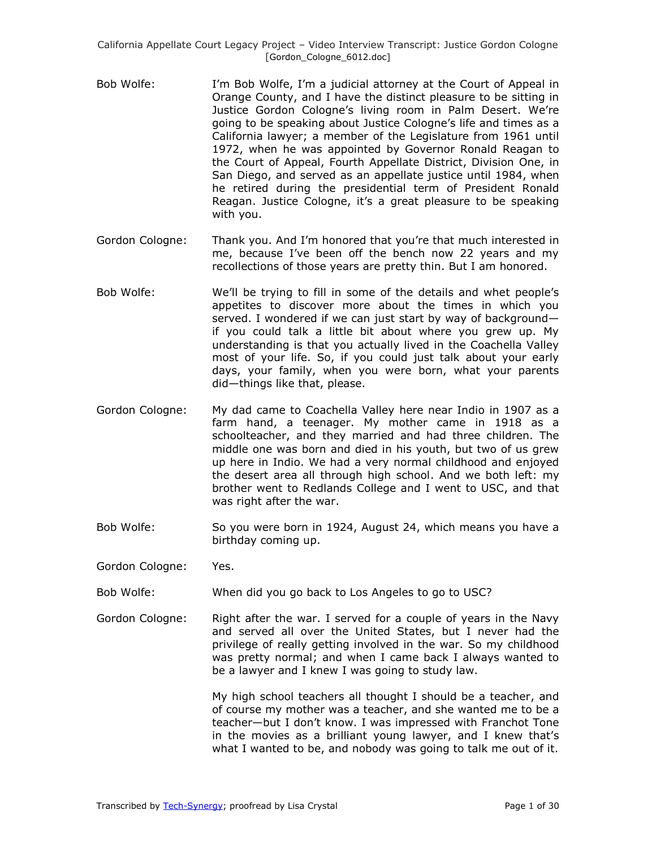- Bob Wolfe: I'm Bob Wolfe, I'm a judicial attorney at the Court of Appeal in Orange County, and I have the distinct pleasure to be sitting in Justice Gordon Cologne's living room in Palm Desert. We're going to be speaking about Justice Cologne's life and times as a California lawyer; a member of the Legislature from 1961 until 1972, when he was appointed by Governor Ronald Reagan to the Court of Appeal, Fourth Appellate District, Division One, in San Diego, and served as an appellate justice until 1984, when he retired during the presidential term of President Ronald Reagan. Justice Cologne, it's a great pleasure to be speaking with you.
- Gordon Cologne: Thank you. And I'm honored that you're that much interested in me, because I've been off the bench now 22 years and my recollections of those years are pretty thin. But I am honored.
- Bob Wolfe: We'll be trying to fill in some of the details and whet people's appetites to discover more about the times in which you served. I wondered if we can just start by way of background if you could talk a little bit about where you grew up. My understanding is that you actually lived in the Coachella Valley most of your life. So, if you could just talk about your early days, your family, when you were born, what your parents did—things like that, please.
- Gordon Cologne: My dad came to Coachella Valley here near Indio in 1907 as a farm hand, a teenager. My mother came in 1918 as a schoolteacher, and they married and had three children. The middle one was born and died in his youth, but two of us grew up here in Indio. We had a very normal childhood and enjoyed the desert area all through high school. And we both left: my brother went to Redlands College and I went to USC, and that was right after the war.
- Bob Wolfe: So you were born in 1924, August 24, which means you have a birthday coming up.
- Gordon Cologne: Yes.
- Bob Wolfe: When did you go back to Los Angeles to go to USC?
- Gordon Cologne: Right after the war. I served for a couple of years in the Navy and served all over the United States, but I never had the privilege of really getting involved in the war. So my childhood was pretty normal; and when I came back I always wanted to be a lawyer and I knew I was going to study law.

My high school teachers all thought I should be a teacher, and of course my mother was a teacher, and she wanted me to be a teacher—but I don't know. I was impressed with Franchot Tone in the movies as a brilliant young lawyer, and I knew that's what I wanted to be, and nobody was going to talk me out of it.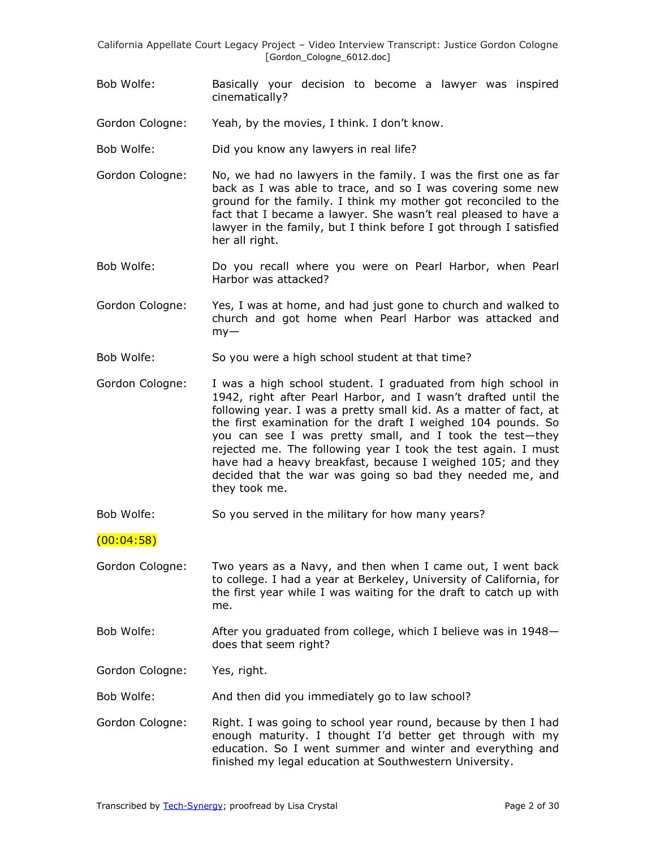- Bob Wolfe: Basically your decision to become a lawyer was inspired cinematically?
- Gordon Cologne: Yeah, by the movies, I think. I don't know.
- Bob Wolfe: Did you know any lawyers in real life?
- Gordon Cologne: No, we had no lawyers in the family. I was the first one as far back as I was able to trace, and so I was covering some new ground for the family. I think my mother got reconciled to the fact that I became a lawyer. She wasn't real pleased to have a lawyer in the family, but I think before I got through I satisfied her all right.
- Bob Wolfe: Do you recall where you were on Pearl Harbor, when Pearl Harbor was attacked?
- Gordon Cologne: Yes, I was at home, and had just gone to church and walked to church and got home when Pearl Harbor was attacked and  $mv -$
- Bob Wolfe: So you were a high school student at that time?
- Gordon Cologne: I was a high school student. I graduated from high school in 1942, right after Pearl Harbor, and I wasn't drafted until the following year. I was a pretty small kid. As a matter of fact, at the first examination for the draft I weighed 104 pounds. So you can see I was pretty small, and I took the test—they rejected me. The following year I took the test again. I must have had a heavy breakfast, because I weighed 105; and they decided that the war was going so bad they needed me, and they took me.
- Bob Wolfe: So you served in the military for how many years?

### (00:04:58)

- Gordon Cologne: Two years as a Navy, and then when I came out, I went back to college. I had a year at Berkeley, University of California, for the first year while I was waiting for the draft to catch up with me.
- Bob Wolfe: After you graduated from college, which I believe was in 1948does that seem right?

Gordon Cologne: Yes, right.

Bob Wolfe: And then did you immediately go to law school?

Gordon Cologne: Right. I was going to school year round, because by then I had enough maturity. I thought I'd better get through with my education. So I went summer and winter and everything and finished my legal education at Southwestern University.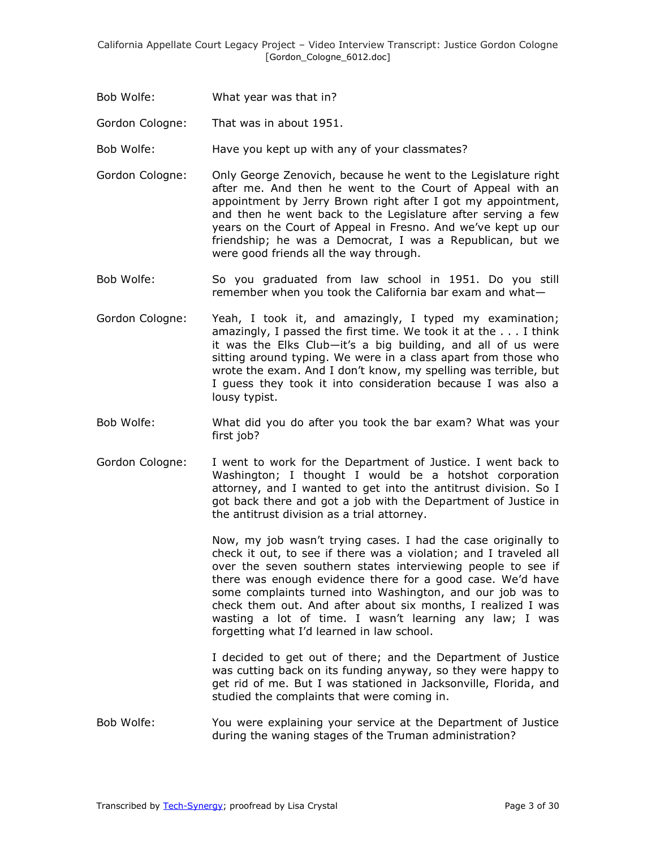Bob Wolfe: What year was that in?

Gordon Cologne: That was in about 1951.

Bob Wolfe: Have you kept up with any of your classmates?

- Gordon Cologne: Only George Zenovich, because he went to the Legislature right after me. And then he went to the Court of Appeal with an appointment by Jerry Brown right after I got my appointment, and then he went back to the Legislature after serving a few years on the Court of Appeal in Fresno. And we've kept up our friendship; he was a Democrat, I was a Republican, but we were good friends all the way through.
- Bob Wolfe: So you graduated from law school in 1951. Do you still remember when you took the California bar exam and what—
- Gordon Cologne: Yeah, I took it, and amazingly, I typed my examination; amazingly, I passed the first time. We took it at the . . . I think it was the Elks Club—it's a big building, and all of us were sitting around typing. We were in a class apart from those who wrote the exam. And I don't know, my spelling was terrible, but I guess they took it into consideration because I was also a lousy typist.
- Bob Wolfe: What did you do after you took the bar exam? What was your first job?
- Gordon Cologne: I went to work for the Department of Justice. I went back to Washington; I thought I would be a hotshot corporation attorney, and I wanted to get into the antitrust division. So I got back there and got a job with the Department of Justice in the antitrust division as a trial attorney.

Now, my job wasn't trying cases. I had the case originally to check it out, to see if there was a violation; and I traveled all over the seven southern states interviewing people to see if there was enough evidence there for a good case. We'd have some complaints turned into Washington, and our job was to check them out. And after about six months, I realized I was wasting a lot of time. I wasn't learning any law; I was forgetting what I'd learned in law school.

I decided to get out of there; and the Department of Justice was cutting back on its funding anyway, so they were happy to get rid of me. But I was stationed in Jacksonville, Florida, and studied the complaints that were coming in.

Bob Wolfe: You were explaining your service at the Department of Justice during the waning stages of the Truman administration?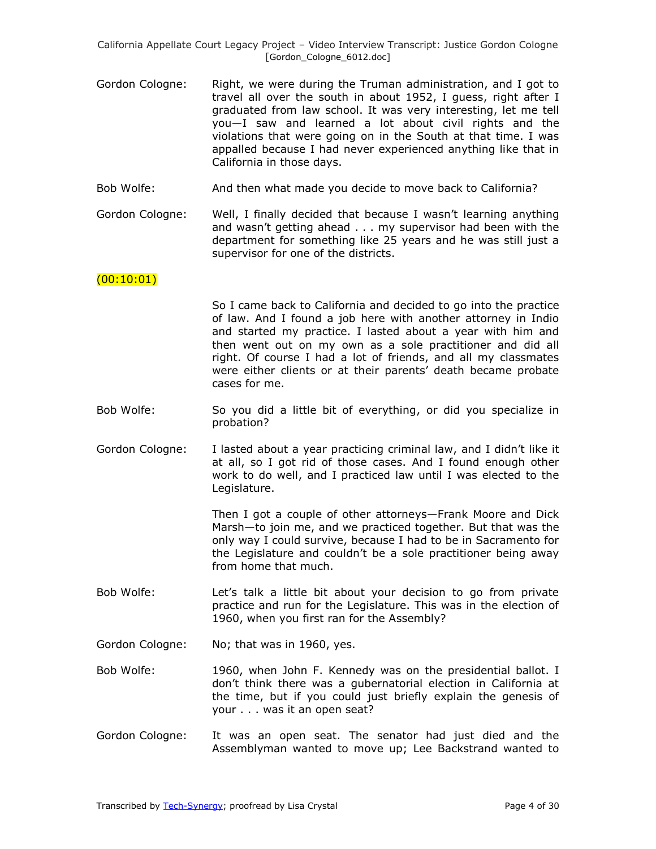- Gordon Cologne: Right, we were during the Truman administration, and I got to travel all over the south in about 1952, I guess, right after I graduated from law school. It was very interesting, let me tell you—I saw and learned a lot about civil rights and the violations that were going on in the South at that time. I was appalled because I had never experienced anything like that in California in those days.
- Bob Wolfe: And then what made you decide to move back to California?
- Gordon Cologne: Well, I finally decided that because I wasn't learning anything and wasn't getting ahead . . . my supervisor had been with the department for something like 25 years and he was still just a supervisor for one of the districts.

#### $(00:10:01)$

So I came back to California and decided to go into the practice of law. And I found a job here with another attorney in Indio and started my practice. I lasted about a year with him and then went out on my own as a sole practitioner and did all right. Of course I had a lot of friends, and all my classmates were either clients or at their parents' death became probate cases for me.

- Bob Wolfe: So you did a little bit of everything, or did you specialize in probation?
- Gordon Cologne: I lasted about a year practicing criminal law, and I didn't like it at all, so I got rid of those cases. And I found enough other work to do well, and I practiced law until I was elected to the Legislature.

Then I got a couple of other attorneys—Frank Moore and Dick Marsh—to join me, and we practiced together. But that was the only way I could survive, because I had to be in Sacramento for the Legislature and couldn't be a sole practitioner being away from home that much.

- Bob Wolfe: Let's talk a little bit about your decision to go from private practice and run for the Legislature. This was in the election of 1960, when you first ran for the Assembly?
- Gordon Cologne: No; that was in 1960, yes.
- Bob Wolfe: 1960, when John F. Kennedy was on the presidential ballot. I don't think there was a gubernatorial election in California at the time, but if you could just briefly explain the genesis of your . . . was it an open seat?
- Gordon Cologne: It was an open seat. The senator had just died and the Assemblyman wanted to move up; Lee Backstrand wanted to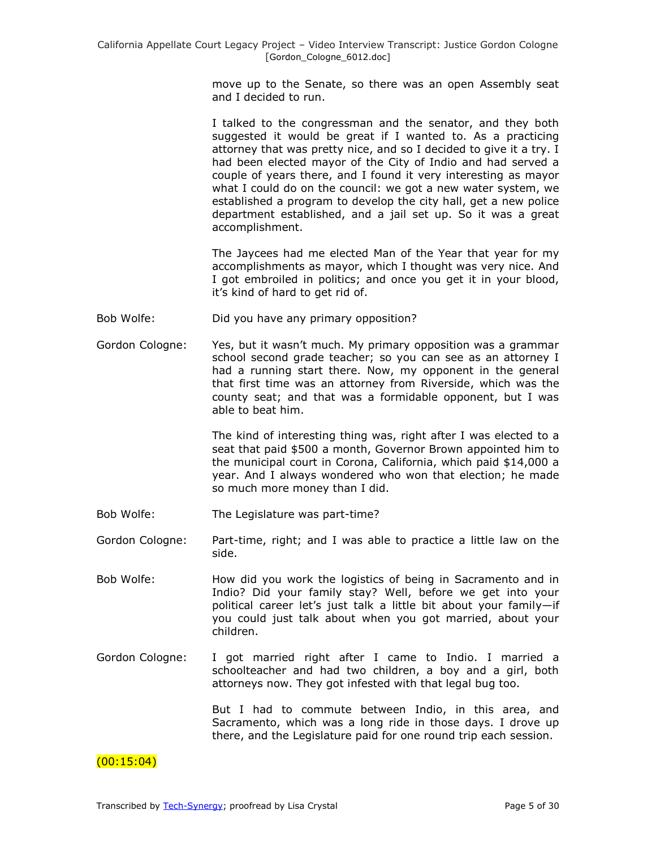move up to the Senate, so there was an open Assembly seat and I decided to run.

I talked to the congressman and the senator, and they both suggested it would be great if I wanted to. As a practicing attorney that was pretty nice, and so I decided to give it a try. I had been elected mayor of the City of Indio and had served a couple of years there, and I found it very interesting as mayor what I could do on the council: we got a new water system, we established a program to develop the city hall, get a new police department established, and a jail set up. So it was a great accomplishment.

The Jaycees had me elected Man of the Year that year for my accomplishments as mayor, which I thought was very nice. And I got embroiled in politics; and once you get it in your blood, it's kind of hard to get rid of.

- Bob Wolfe: Did you have any primary opposition?
- Gordon Cologne: Yes, but it wasn't much. My primary opposition was a grammar school second grade teacher; so you can see as an attorney I had a running start there. Now, my opponent in the general that first time was an attorney from Riverside, which was the county seat; and that was a formidable opponent, but I was able to beat him.

The kind of interesting thing was, right after I was elected to a seat that paid \$500 a month, Governor Brown appointed him to the municipal court in Corona, California, which paid \$14,000 a year. And I always wondered who won that election; he made so much more money than I did.

- Bob Wolfe: The Legislature was part-time?
- Gordon Cologne: Part-time, right; and I was able to practice a little law on the side.
- Bob Wolfe: How did you work the logistics of being in Sacramento and in Indio? Did your family stay? Well, before we get into your political career let's just talk a little bit about your family—if you could just talk about when you got married, about your children.
- Gordon Cologne: I got married right after I came to Indio. I married a schoolteacher and had two children, a boy and a girl, both attorneys now. They got infested with that legal bug too.

But I had to commute between Indio, in this area, and Sacramento, which was a long ride in those days. I drove up there, and the Legislature paid for one round trip each session.

### $(00:15:04)$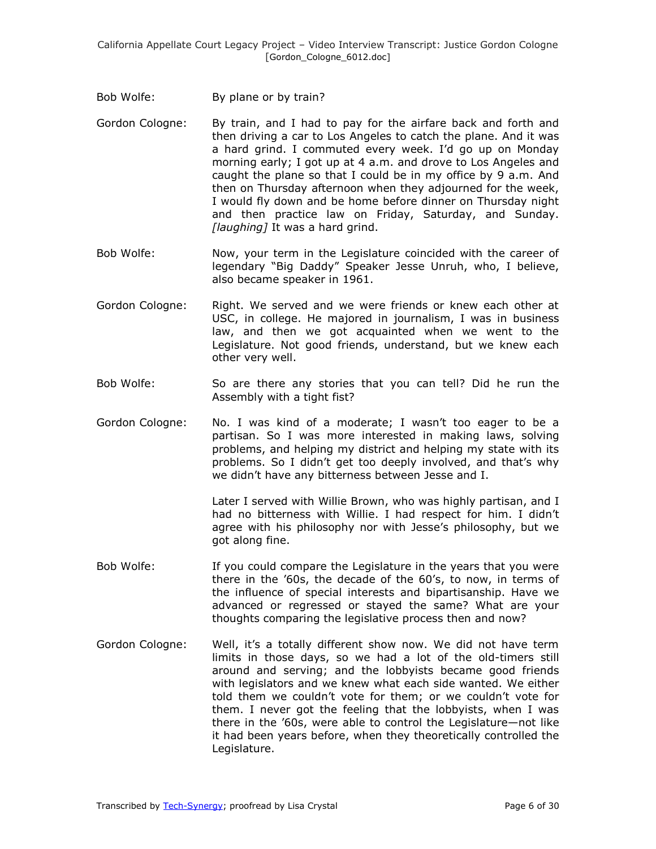- Bob Wolfe: By plane or by train?
- Gordon Cologne: By train, and I had to pay for the airfare back and forth and then driving a car to Los Angeles to catch the plane. And it was a hard grind. I commuted every week. I'd go up on Monday morning early; I got up at 4 a.m. and drove to Los Angeles and caught the plane so that I could be in my office by 9 a.m. And then on Thursday afternoon when they adjourned for the week, I would fly down and be home before dinner on Thursday night and then practice law on Friday, Saturday, and Sunday. *[laughing]* It was a hard grind.
- Bob Wolfe: Now, your term in the Legislature coincided with the career of legendary "Big Daddy" Speaker Jesse Unruh, who, I believe, also became speaker in 1961.
- Gordon Cologne: Right. We served and we were friends or knew each other at USC, in college. He majored in journalism, I was in business law, and then we got acquainted when we went to the Legislature. Not good friends, understand, but we knew each other very well.
- Bob Wolfe: So are there any stories that you can tell? Did he run the Assembly with a tight fist?
- Gordon Cologne: No. I was kind of a moderate; I wasn't too eager to be a partisan. So I was more interested in making laws, solving problems, and helping my district and helping my state with its problems. So I didn't get too deeply involved, and that's why we didn't have any bitterness between Jesse and I.

Later I served with Willie Brown, who was highly partisan, and I had no bitterness with Willie. I had respect for him. I didn't agree with his philosophy nor with Jesse's philosophy, but we got along fine.

- Bob Wolfe: If you could compare the Legislature in the years that you were there in the '60s, the decade of the 60's, to now, in terms of the influence of special interests and bipartisanship. Have we advanced or regressed or stayed the same? What are your thoughts comparing the legislative process then and now?
- Gordon Cologne: Well, it's a totally different show now. We did not have term limits in those days, so we had a lot of the old-timers still around and serving; and the lobbyists became good friends with legislators and we knew what each side wanted. We either told them we couldn't vote for them; or we couldn't vote for them. I never got the feeling that the lobbyists, when I was there in the '60s, were able to control the Legislature—not like it had been years before, when they theoretically controlled the Legislature.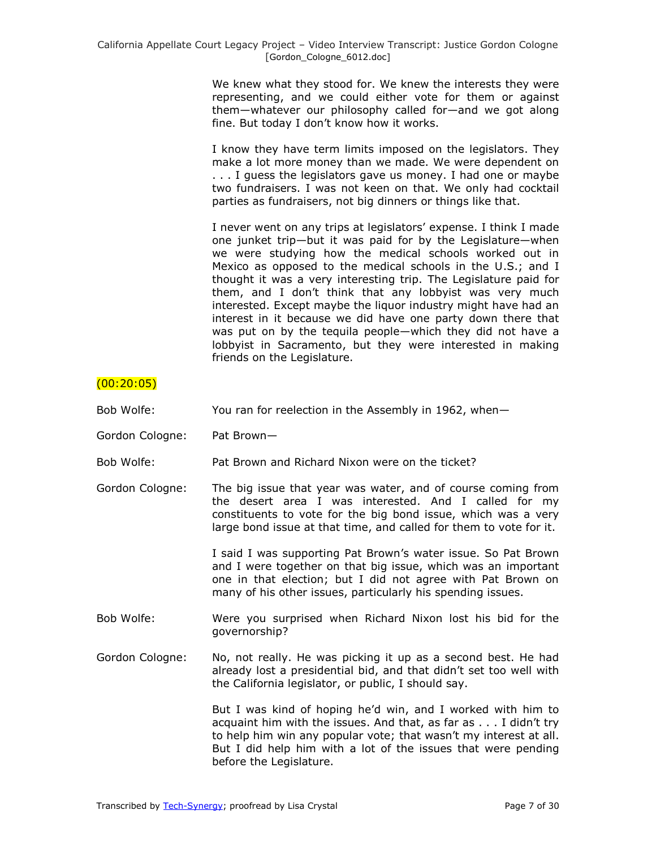We knew what they stood for. We knew the interests they were representing, and we could either vote for them or against them—whatever our philosophy called for—and we got along fine. But today I don't know how it works.

I know they have term limits imposed on the legislators. They make a lot more money than we made. We were dependent on . . . I guess the legislators gave us money. I had one or maybe two fundraisers. I was not keen on that. We only had cocktail parties as fundraisers, not big dinners or things like that.

I never went on any trips at legislators' expense. I think I made one junket trip—but it was paid for by the Legislature—when we were studying how the medical schools worked out in Mexico as opposed to the medical schools in the U.S.; and I thought it was a very interesting trip. The Legislature paid for them, and I don't think that any lobbyist was very much interested. Except maybe the liquor industry might have had an interest in it because we did have one party down there that was put on by the tequila people—which they did not have a lobbyist in Sacramento, but they were interested in making friends on the Legislature.

# $(00:20:05)$

- Bob Wolfe: You ran for reelection in the Assembly in 1962, when—
- Gordon Cologne: Pat Brown—
- Bob Wolfe: Pat Brown and Richard Nixon were on the ticket?
- Gordon Cologne: The big issue that year was water, and of course coming from the desert area I was interested. And I called for my constituents to vote for the big bond issue, which was a very large bond issue at that time, and called for them to vote for it.

I said I was supporting Pat Brown's water issue. So Pat Brown and I were together on that big issue, which was an important one in that election; but I did not agree with Pat Brown on many of his other issues, particularly his spending issues.

- Bob Wolfe: Were you surprised when Richard Nixon lost his bid for the governorship?
- Gordon Cologne: No, not really. He was picking it up as a second best. He had already lost a presidential bid, and that didn't set too well with the California legislator, or public, I should say.

But I was kind of hoping he'd win, and I worked with him to acquaint him with the issues. And that, as far as . . . I didn't try to help him win any popular vote; that wasn't my interest at all. But I did help him with a lot of the issues that were pending before the Legislature.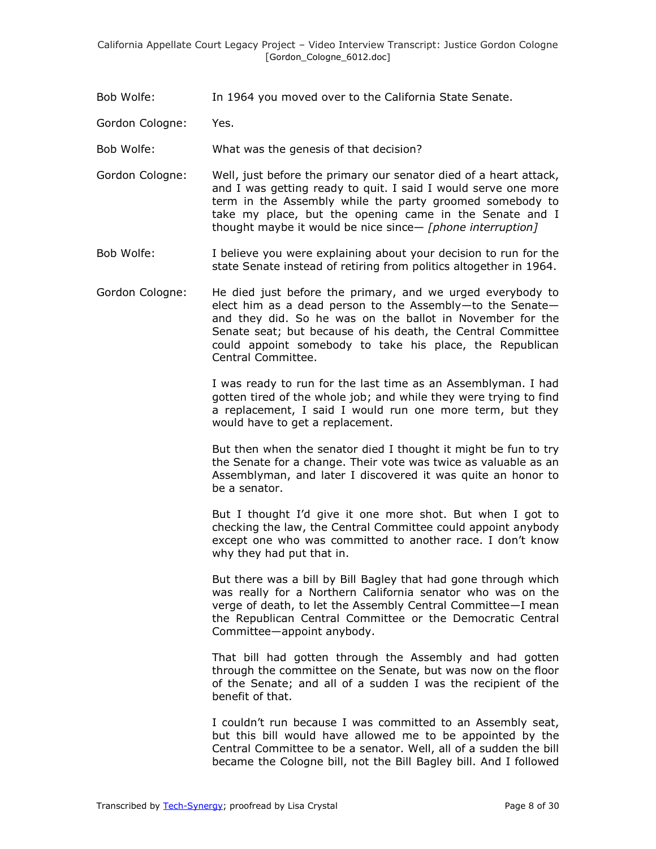Bob Wolfe: In 1964 you moved over to the California State Senate.

Gordon Cologne: Yes.

Bob Wolfe: What was the genesis of that decision?

- Gordon Cologne: Well, just before the primary our senator died of a heart attack, and I was getting ready to quit. I said I would serve one more term in the Assembly while the party groomed somebody to take my place, but the opening came in the Senate and I thought maybe it would be nice since— *[phone interruption]*
- Bob Wolfe: I believe you were explaining about your decision to run for the state Senate instead of retiring from politics altogether in 1964.
- Gordon Cologne: He died just before the primary, and we urged everybody to elect him as a dead person to the Assembly—to the Senate and they did. So he was on the ballot in November for the Senate seat; but because of his death, the Central Committee could appoint somebody to take his place, the Republican Central Committee.

I was ready to run for the last time as an Assemblyman. I had gotten tired of the whole job; and while they were trying to find a replacement, I said I would run one more term, but they would have to get a replacement.

But then when the senator died I thought it might be fun to try the Senate for a change. Their vote was twice as valuable as an Assemblyman, and later I discovered it was quite an honor to be a senator.

But I thought I'd give it one more shot. But when I got to checking the law, the Central Committee could appoint anybody except one who was committed to another race. I don't know why they had put that in.

But there was a bill by Bill Bagley that had gone through which was really for a Northern California senator who was on the verge of death, to let the Assembly Central Committee—I mean the Republican Central Committee or the Democratic Central Committee—appoint anybody.

That bill had gotten through the Assembly and had gotten through the committee on the Senate, but was now on the floor of the Senate; and all of a sudden I was the recipient of the benefit of that.

I couldn't run because I was committed to an Assembly seat, but this bill would have allowed me to be appointed by the Central Committee to be a senator. Well, all of a sudden the bill became the Cologne bill, not the Bill Bagley bill. And I followed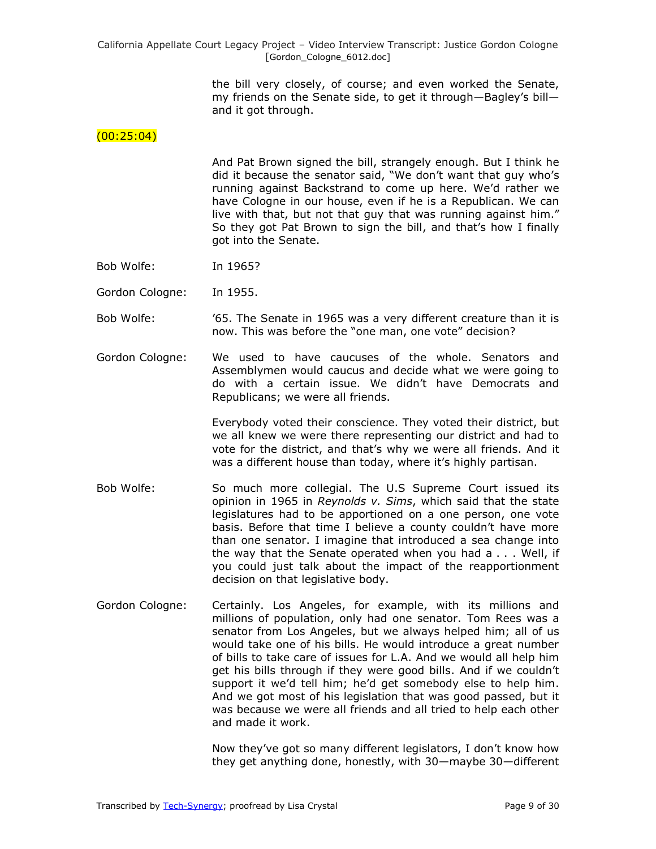> the bill very closely, of course; and even worked the Senate, my friends on the Senate side, to get it through—Bagley's bill and it got through.

#### $(00:25:04)$

And Pat Brown signed the bill, strangely enough. But I think he did it because the senator said, "We don't want that guy who's running against Backstrand to come up here. We'd rather we have Cologne in our house, even if he is a Republican. We can live with that, but not that guy that was running against him." So they got Pat Brown to sign the bill, and that's how I finally got into the Senate.

Bob Wolfe: In 1965?

Gordon Cologne: In 1955.

- Bob Wolfe: '65. The Senate in 1965 was a very different creature than it is now. This was before the "one man, one vote" decision?
- Gordon Cologne: We used to have caucuses of the whole. Senators and Assemblymen would caucus and decide what we were going to do with a certain issue. We didn't have Democrats and Republicans; we were all friends.

Everybody voted their conscience. They voted their district, but we all knew we were there representing our district and had to vote for the district, and that's why we were all friends. And it was a different house than today, where it's highly partisan.

- Bob Wolfe: So much more collegial. The U.S Supreme Court issued its opinion in 1965 in *Reynolds v. Sims*, which said that the state legislatures had to be apportioned on a one person, one vote basis. Before that time I believe a county couldn't have more than one senator. I imagine that introduced a sea change into the way that the Senate operated when you had a . . . Well, if you could just talk about the impact of the reapportionment decision on that legislative body.
- Gordon Cologne: Certainly. Los Angeles, for example, with its millions and millions of population, only had one senator. Tom Rees was a senator from Los Angeles, but we always helped him; all of us would take one of his bills. He would introduce a great number of bills to take care of issues for L.A. And we would all help him get his bills through if they were good bills. And if we couldn't support it we'd tell him; he'd get somebody else to help him. And we got most of his legislation that was good passed, but it was because we were all friends and all tried to help each other and made it work.

Now they've got so many different legislators, I don't know how they get anything done, honestly, with 30—maybe 30—different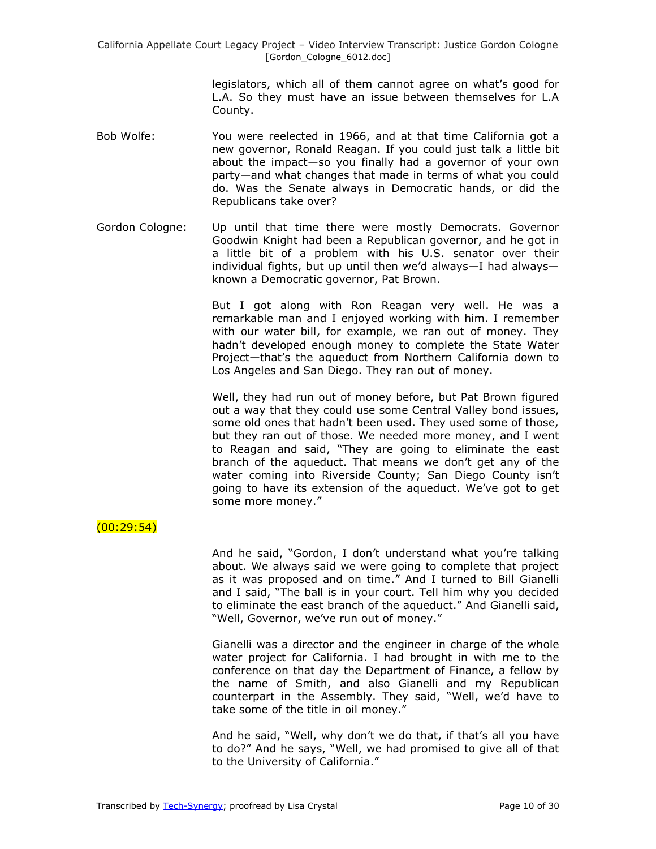> legislators, which all of them cannot agree on what's good for L.A. So they must have an issue between themselves for L.A County.

- Bob Wolfe: You were reelected in 1966, and at that time California got a new governor, Ronald Reagan. If you could just talk a little bit about the impact—so you finally had a governor of your own party—and what changes that made in terms of what you could do. Was the Senate always in Democratic hands, or did the Republicans take over?
- Gordon Cologne: Up until that time there were mostly Democrats. Governor Goodwin Knight had been a Republican governor, and he got in a little bit of a problem with his U.S. senator over their individual fights, but up until then we'd always—I had always known a Democratic governor, Pat Brown.

But I got along with Ron Reagan very well. He was a remarkable man and I enjoyed working with him. I remember with our water bill, for example, we ran out of money. They hadn't developed enough money to complete the State Water Project—that's the aqueduct from Northern California down to Los Angeles and San Diego. They ran out of money.

Well, they had run out of money before, but Pat Brown figured out a way that they could use some Central Valley bond issues, some old ones that hadn't been used. They used some of those, but they ran out of those. We needed more money, and I went to Reagan and said, "They are going to eliminate the east branch of the aqueduct. That means we don't get any of the water coming into Riverside County; San Diego County isn't going to have its extension of the aqueduct. We've got to get some more money."

### (00:29:54)

And he said, "Gordon, I don't understand what you're talking about. We always said we were going to complete that project as it was proposed and on time." And I turned to Bill Gianelli and I said, "The ball is in your court. Tell him why you decided to eliminate the east branch of the aqueduct." And Gianelli said, "Well, Governor, we've run out of money."

Gianelli was a director and the engineer in charge of the whole water project for California. I had brought in with me to the conference on that day the Department of Finance, a fellow by the name of Smith, and also Gianelli and my Republican counterpart in the Assembly. They said, "Well, we'd have to take some of the title in oil money."

And he said, "Well, why don't we do that, if that's all you have to do?" And he says, "Well, we had promised to give all of that to the University of California."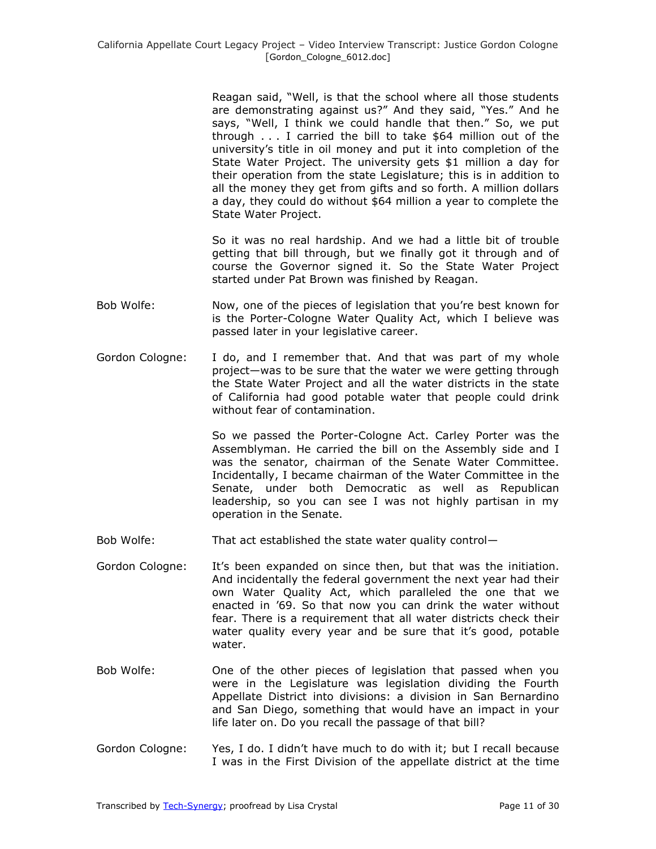Reagan said, "Well, is that the school where all those students are demonstrating against us?" And they said, "Yes." And he says, "Well, I think we could handle that then." So, we put through . . . I carried the bill to take \$64 million out of the university's title in oil money and put it into completion of the State Water Project. The university gets \$1 million a day for their operation from the state Legislature; this is in addition to all the money they get from gifts and so forth. A million dollars a day, they could do without \$64 million a year to complete the State Water Project.

So it was no real hardship. And we had a little bit of trouble getting that bill through, but we finally got it through and of course the Governor signed it. So the State Water Project started under Pat Brown was finished by Reagan.

- Bob Wolfe: Now, one of the pieces of legislation that you're best known for is the Porter-Cologne Water Quality Act, which I believe was passed later in your legislative career.
- Gordon Cologne: I do, and I remember that. And that was part of my whole project—was to be sure that the water we were getting through the State Water Project and all the water districts in the state of California had good potable water that people could drink without fear of contamination.

So we passed the Porter-Cologne Act. Carley Porter was the Assemblyman. He carried the bill on the Assembly side and I was the senator, chairman of the Senate Water Committee. Incidentally, I became chairman of the Water Committee in the Senate, under both Democratic as well as Republican leadership, so you can see I was not highly partisan in my operation in the Senate.

- Bob Wolfe: That act established the state water quality control—
- Gordon Cologne: It's been expanded on since then, but that was the initiation. And incidentally the federal government the next year had their own Water Quality Act, which paralleled the one that we enacted in '69. So that now you can drink the water without fear. There is a requirement that all water districts check their water quality every year and be sure that it's good, potable water.
- Bob Wolfe: One of the other pieces of legislation that passed when you were in the Legislature was legislation dividing the Fourth Appellate District into divisions: a division in San Bernardino and San Diego, something that would have an impact in your life later on. Do you recall the passage of that bill?
- Gordon Cologne: Yes, I do. I didn't have much to do with it; but I recall because I was in the First Division of the appellate district at the time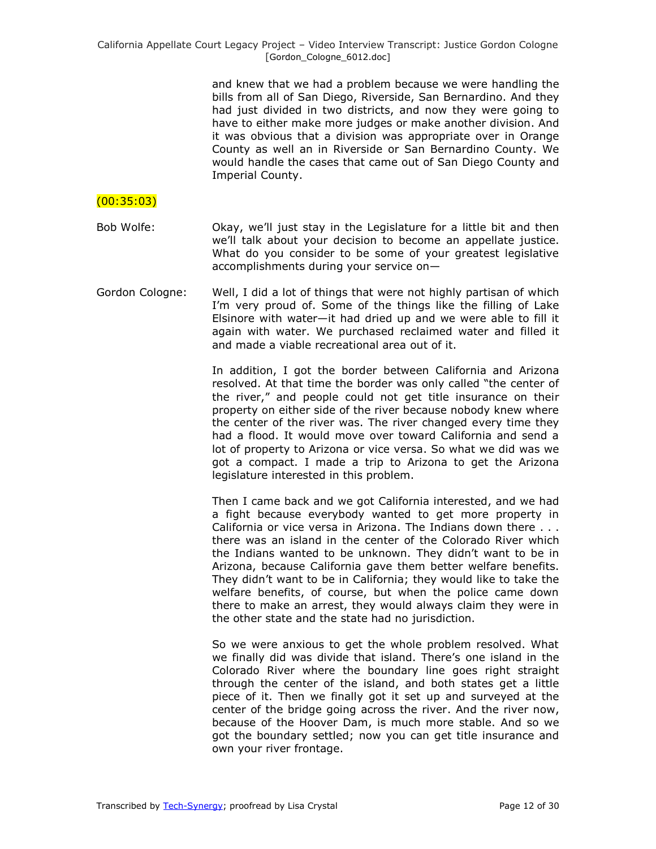and knew that we had a problem because we were handling the bills from all of San Diego, Riverside, San Bernardino. And they had just divided in two districts, and now they were going to have to either make more judges or make another division. And it was obvious that a division was appropriate over in Orange County as well an in Riverside or San Bernardino County. We would handle the cases that came out of San Diego County and Imperial County.

### $(00:35:03)$

- Bob Wolfe: Okay, we'll just stay in the Legislature for a little bit and then we'll talk about your decision to become an appellate justice. What do you consider to be some of your greatest legislative accomplishments during your service on—
- Gordon Cologne: Well, I did a lot of things that were not highly partisan of which I'm very proud of. Some of the things like the filling of Lake Elsinore with water—it had dried up and we were able to fill it again with water. We purchased reclaimed water and filled it and made a viable recreational area out of it.

In addition, I got the border between California and Arizona resolved. At that time the border was only called "the center of the river," and people could not get title insurance on their property on either side of the river because nobody knew where the center of the river was. The river changed every time they had a flood. It would move over toward California and send a lot of property to Arizona or vice versa. So what we did was we got a compact. I made a trip to Arizona to get the Arizona legislature interested in this problem.

Then I came back and we got California interested, and we had a fight because everybody wanted to get more property in California or vice versa in Arizona. The Indians down there . . . there was an island in the center of the Colorado River which the Indians wanted to be unknown. They didn't want to be in Arizona, because California gave them better welfare benefits. They didn't want to be in California; they would like to take the welfare benefits, of course, but when the police came down there to make an arrest, they would always claim they were in the other state and the state had no jurisdiction.

So we were anxious to get the whole problem resolved. What we finally did was divide that island. There's one island in the Colorado River where the boundary line goes right straight through the center of the island, and both states get a little piece of it. Then we finally got it set up and surveyed at the center of the bridge going across the river. And the river now, because of the Hoover Dam, is much more stable. And so we got the boundary settled; now you can get title insurance and own your river frontage.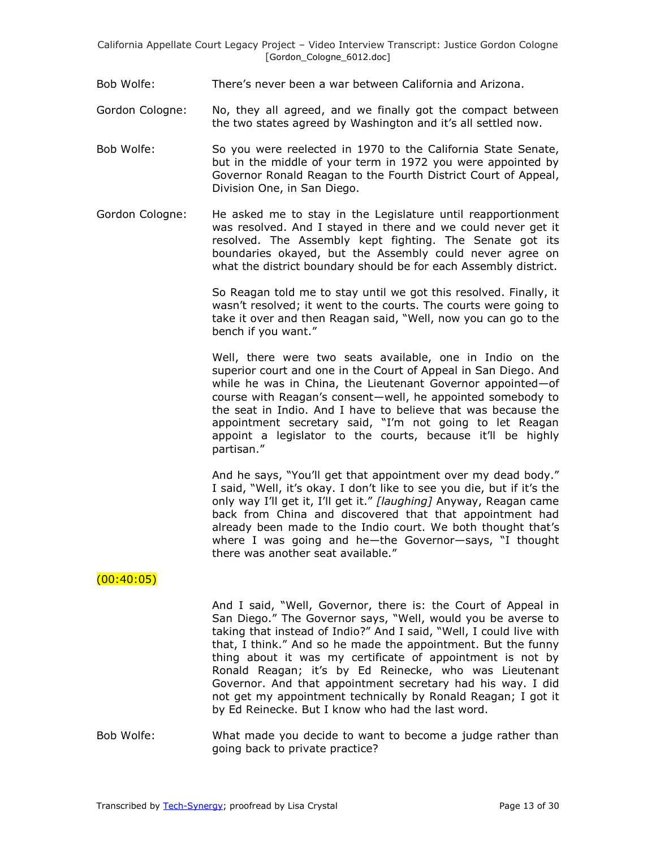- Bob Wolfe: There's never been a war between California and Arizona.
- Gordon Cologne: No, they all agreed, and we finally got the compact between the two states agreed by Washington and it's all settled now.
- Bob Wolfe: So you were reelected in 1970 to the California State Senate, but in the middle of your term in 1972 you were appointed by Governor Ronald Reagan to the Fourth District Court of Appeal, Division One, in San Diego.
- Gordon Cologne: He asked me to stay in the Legislature until reapportionment was resolved. And I stayed in there and we could never get it resolved. The Assembly kept fighting. The Senate got its boundaries okayed, but the Assembly could never agree on what the district boundary should be for each Assembly district.

So Reagan told me to stay until we got this resolved. Finally, it wasn't resolved; it went to the courts. The courts were going to take it over and then Reagan said, "Well, now you can go to the bench if you want."

Well, there were two seats available, one in Indio on the superior court and one in the Court of Appeal in San Diego. And while he was in China, the Lieutenant Governor appointed—of course with Reagan's consent—well, he appointed somebody to the seat in Indio. And I have to believe that was because the appointment secretary said, "I'm not going to let Reagan appoint a legislator to the courts, because it'll be highly partisan."

And he says, "You'll get that appointment over my dead body." I said, "Well, it's okay. I don't like to see you die, but if it's the only way I'll get it, I'll get it.‖ *[laughing]* Anyway, Reagan came back from China and discovered that that appointment had already been made to the Indio court. We both thought that's where I was going and he—the Governor—says, "I thought there was another seat available."

### $(00:40:05)$

And I said, "Well, Governor, there is: the Court of Appeal in San Diego." The Governor says, "Well, would you be averse to taking that instead of Indio?" And I said, "Well, I could live with that, I think." And so he made the appointment. But the funny thing about it was my certificate of appointment is not by Ronald Reagan; it's by Ed Reinecke, who was Lieutenant Governor. And that appointment secretary had his way. I did not get my appointment technically by Ronald Reagan; I got it by Ed Reinecke. But I know who had the last word.

Bob Wolfe: What made you decide to want to become a judge rather than going back to private practice?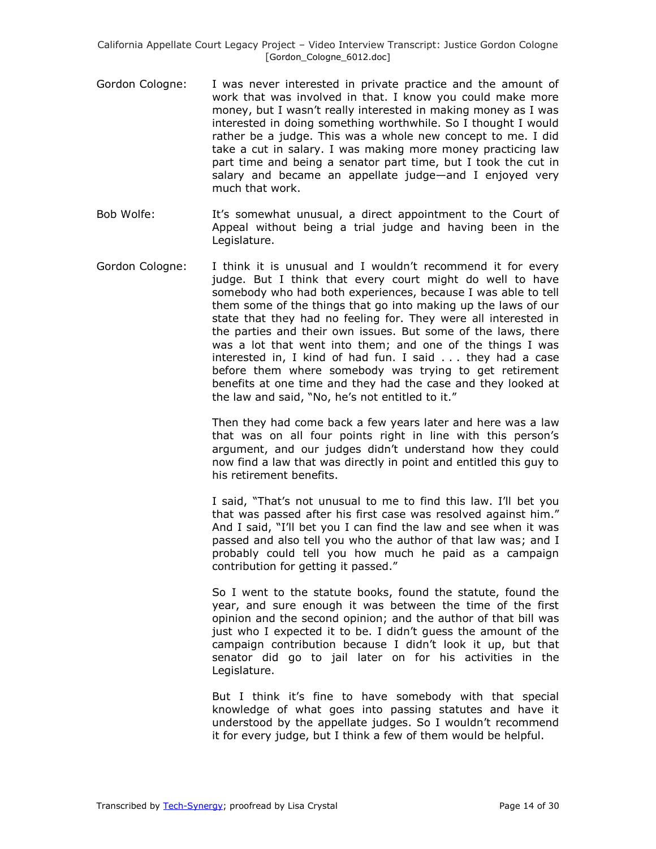- Gordon Cologne: I was never interested in private practice and the amount of work that was involved in that. I know you could make more money, but I wasn't really interested in making money as I was interested in doing something worthwhile. So I thought I would rather be a judge. This was a whole new concept to me. I did take a cut in salary. I was making more money practicing law part time and being a senator part time, but I took the cut in salary and became an appellate judge—and I enjoyed very much that work.
- Bob Wolfe: It's somewhat unusual, a direct appointment to the Court of Appeal without being a trial judge and having been in the Legislature.
- Gordon Cologne: I think it is unusual and I wouldn't recommend it for every judge. But I think that every court might do well to have somebody who had both experiences, because I was able to tell them some of the things that go into making up the laws of our state that they had no feeling for. They were all interested in the parties and their own issues. But some of the laws, there was a lot that went into them; and one of the things I was interested in, I kind of had fun. I said . . . they had a case before them where somebody was trying to get retirement benefits at one time and they had the case and they looked at the law and said, "No, he's not entitled to it."

Then they had come back a few years later and here was a law that was on all four points right in line with this person's argument, and our judges didn't understand how they could now find a law that was directly in point and entitled this guy to his retirement benefits.

I said, "That's not unusual to me to find this law. I'll bet you that was passed after his first case was resolved against him." And I said, "I'll bet you I can find the law and see when it was passed and also tell you who the author of that law was; and I probably could tell you how much he paid as a campaign contribution for getting it passed."

So I went to the statute books, found the statute, found the year, and sure enough it was between the time of the first opinion and the second opinion; and the author of that bill was just who I expected it to be. I didn't guess the amount of the campaign contribution because I didn't look it up, but that senator did go to jail later on for his activities in the Legislature.

But I think it's fine to have somebody with that special knowledge of what goes into passing statutes and have it understood by the appellate judges. So I wouldn't recommend it for every judge, but I think a few of them would be helpful.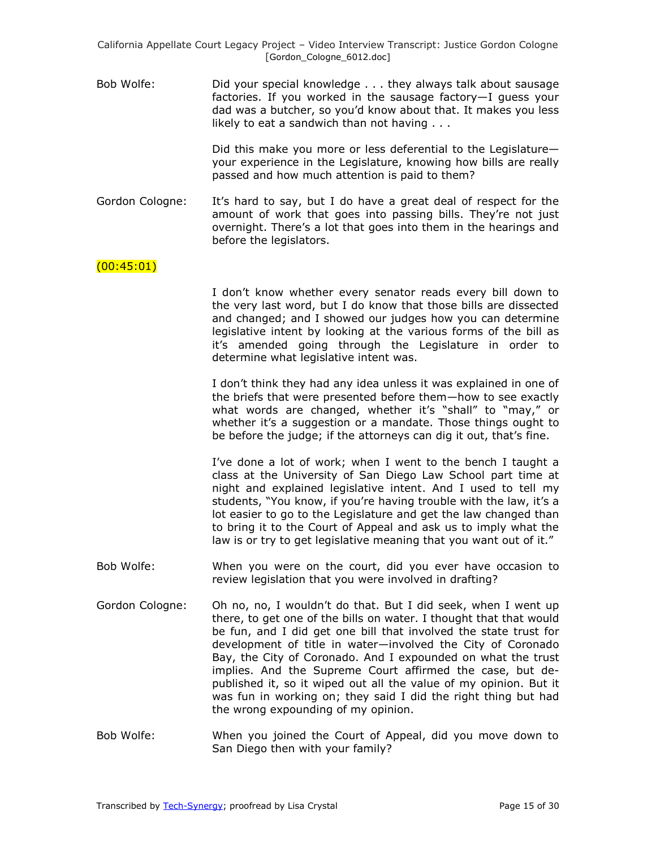Bob Wolfe: Did your special knowledge . . . they always talk about sausage factories. If you worked in the sausage factory—I guess your dad was a butcher, so you'd know about that. It makes you less likely to eat a sandwich than not having . . .

> Did this make you more or less deferential to the Legislature your experience in the Legislature, knowing how bills are really passed and how much attention is paid to them?

Gordon Cologne: It's hard to say, but I do have a great deal of respect for the amount of work that goes into passing bills. They're not just overnight. There's a lot that goes into them in the hearings and before the legislators.

### $(00:45:01)$

I don't know whether every senator reads every bill down to the very last word, but I do know that those bills are dissected and changed; and I showed our judges how you can determine legislative intent by looking at the various forms of the bill as it's amended going through the Legislature in order to determine what legislative intent was.

I don't think they had any idea unless it was explained in one of the briefs that were presented before them—how to see exactly what words are changed, whether it's "shall" to "may," or whether it's a suggestion or a mandate. Those things ought to be before the judge; if the attorneys can dig it out, that's fine.

I've done a lot of work; when I went to the bench I taught a class at the University of San Diego Law School part time at night and explained legislative intent. And I used to tell my students, "You know, if you're having trouble with the law, it's a lot easier to go to the Legislature and get the law changed than to bring it to the Court of Appeal and ask us to imply what the law is or try to get legislative meaning that you want out of it."

- Bob Wolfe: When you were on the court, did you ever have occasion to review legislation that you were involved in drafting?
- Gordon Cologne: Oh no, no, I wouldn't do that. But I did seek, when I went up there, to get one of the bills on water. I thought that that would be fun, and I did get one bill that involved the state trust for development of title in water—involved the City of Coronado Bay, the City of Coronado. And I expounded on what the trust implies. And the Supreme Court affirmed the case, but depublished it, so it wiped out all the value of my opinion. But it was fun in working on; they said I did the right thing but had the wrong expounding of my opinion.
- Bob Wolfe: When you joined the Court of Appeal, did you move down to San Diego then with your family?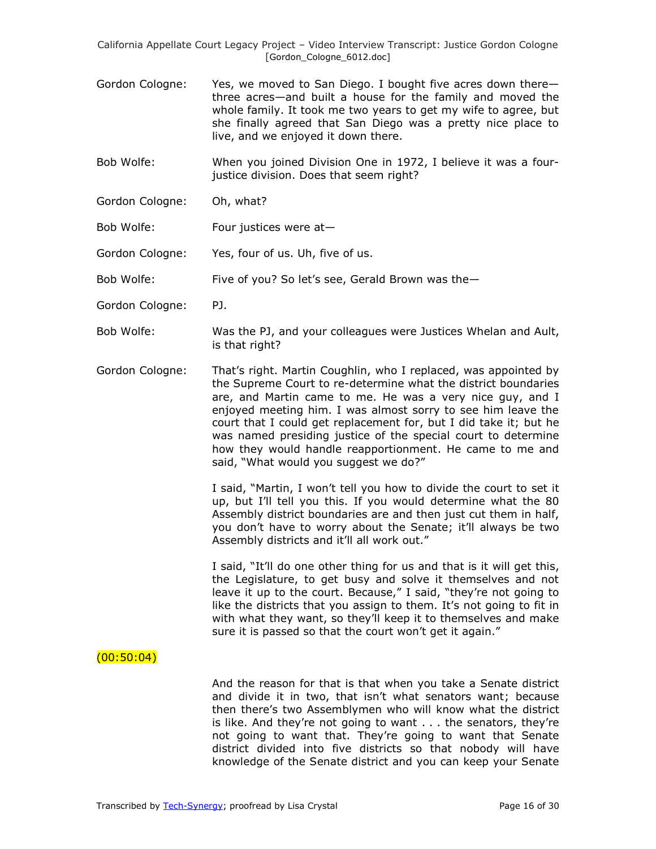Gordon Cologne: Yes, we moved to San Diego. I bought five acres down there three acres—and built a house for the family and moved the whole family. It took me two years to get my wife to agree, but she finally agreed that San Diego was a pretty nice place to live, and we enjoyed it down there.

Bob Wolfe: When you joined Division One in 1972, I believe it was a fourjustice division. Does that seem right?

- Gordon Cologne: Oh, what?
- Bob Wolfe: Four justices were at—
- Gordon Cologne: Yes, four of us. Uh, five of us.
- Bob Wolfe: Five of you? So let's see, Gerald Brown was the—
- Gordon Cologne: PJ.
- Bob Wolfe: Was the PJ, and your colleagues were Justices Whelan and Ault, is that right?
- Gordon Cologne: That's right. Martin Coughlin, who I replaced, was appointed by the Supreme Court to re-determine what the district boundaries are, and Martin came to me. He was a very nice guy, and I enjoyed meeting him. I was almost sorry to see him leave the court that I could get replacement for, but I did take it; but he was named presiding justice of the special court to determine how they would handle reapportionment. He came to me and said, "What would you suggest we do?"

I said, "Martin, I won't tell you how to divide the court to set it up, but I'll tell you this. If you would determine what the 80 Assembly district boundaries are and then just cut them in half, you don't have to worry about the Senate; it'll always be two Assembly districts and it'll all work out."

I said, "It'll do one other thing for us and that is it will get this, the Legislature, to get busy and solve it themselves and not leave it up to the court. Because," I said, "they're not going to like the districts that you assign to them. It's not going to fit in with what they want, so they'll keep it to themselves and make sure it is passed so that the court won't get it again."

#### $(00:50:04)$

And the reason for that is that when you take a Senate district and divide it in two, that isn't what senators want; because then there's two Assemblymen who will know what the district is like. And they're not going to want . . . the senators, they're not going to want that. They're going to want that Senate district divided into five districts so that nobody will have knowledge of the Senate district and you can keep your Senate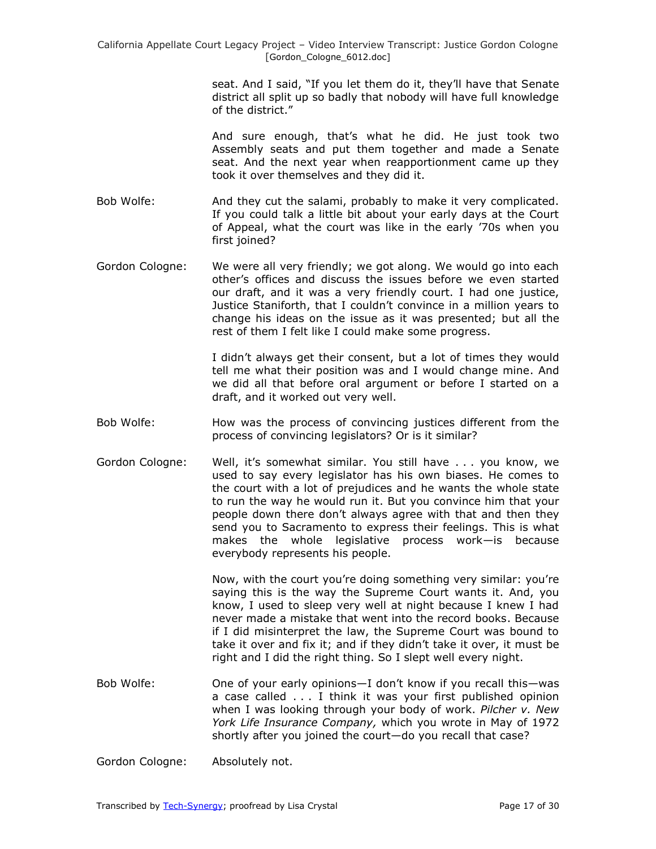seat. And I said, "If you let them do it, they'll have that Senate district all split up so badly that nobody will have full knowledge of the district.‖

And sure enough, that's what he did. He just took two Assembly seats and put them together and made a Senate seat. And the next year when reapportionment came up they took it over themselves and they did it.

- Bob Wolfe: And they cut the salami, probably to make it very complicated. If you could talk a little bit about your early days at the Court of Appeal, what the court was like in the early '70s when you first joined?
- Gordon Cologne: We were all very friendly; we got along. We would go into each other's offices and discuss the issues before we even started our draft, and it was a very friendly court. I had one justice, Justice Staniforth, that I couldn't convince in a million years to change his ideas on the issue as it was presented; but all the rest of them I felt like I could make some progress.

I didn't always get their consent, but a lot of times they would tell me what their position was and I would change mine. And we did all that before oral argument or before I started on a draft, and it worked out very well.

- Bob Wolfe: How was the process of convincing justices different from the process of convincing legislators? Or is it similar?
- Gordon Cologne: Well, it's somewhat similar. You still have . . . you know, we used to say every legislator has his own biases. He comes to the court with a lot of prejudices and he wants the whole state to run the way he would run it. But you convince him that your people down there don't always agree with that and then they send you to Sacramento to express their feelings. This is what makes the whole legislative process work—is because everybody represents his people.

Now, with the court you're doing something very similar: you're saying this is the way the Supreme Court wants it. And, you know, I used to sleep very well at night because I knew I had never made a mistake that went into the record books. Because if I did misinterpret the law, the Supreme Court was bound to take it over and fix it; and if they didn't take it over, it must be right and I did the right thing. So I slept well every night.

Bob Wolfe: One of your early opinions—I don't know if you recall this—was a case called . . . I think it was your first published opinion when I was looking through your body of work. *Pilcher v. New York Life Insurance Company,* which you wrote in May of 1972 shortly after you joined the court—do you recall that case?

Gordon Cologne: Absolutely not.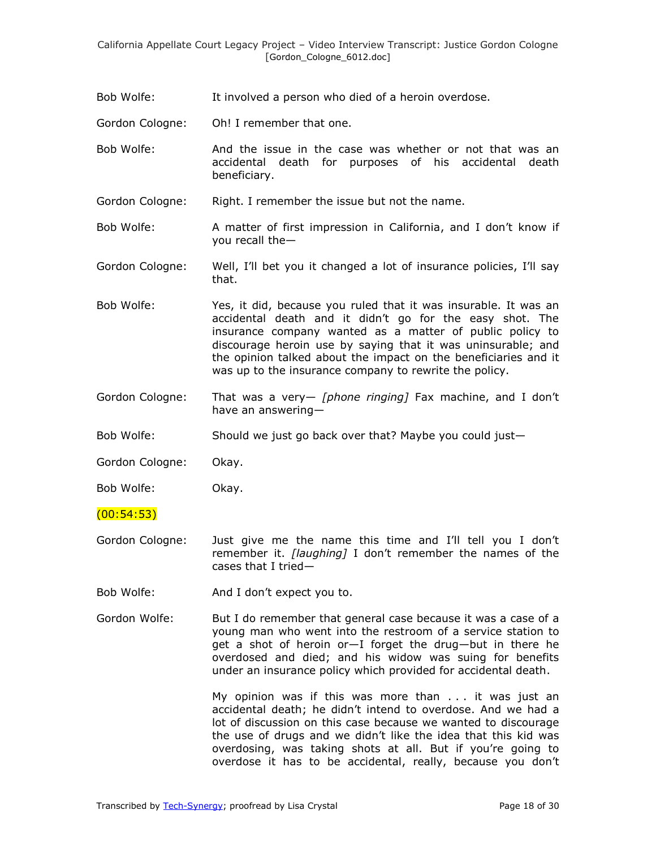Bob Wolfe: It involved a person who died of a heroin overdose.

Gordon Cologne: Oh! I remember that one.

- Bob Wolfe: And the issue in the case was whether or not that was an accidental death for purposes of his accidental death beneficiary.
- Gordon Cologne: Right. I remember the issue but not the name.
- Bob Wolfe: A matter of first impression in California, and I don't know if you recall the—
- Gordon Cologne: Well, I'll bet you it changed a lot of insurance policies, I'll say that.
- Bob Wolfe: Yes, it did, because you ruled that it was insurable. It was an accidental death and it didn't go for the easy shot. The insurance company wanted as a matter of public policy to discourage heroin use by saying that it was uninsurable; and the opinion talked about the impact on the beneficiaries and it was up to the insurance company to rewrite the policy.
- Gordon Cologne: That was a very— *[phone ringing]* Fax machine, and I don't have an answering—

Bob Wolfe: Should we just go back over that? Maybe you could just—

Gordon Cologne: Okay.

Bob Wolfe: Okay.

 $(00:54:53)$ 

- Gordon Cologne: Just give me the name this time and I'll tell you I don't remember it. *[laughing]* I don't remember the names of the cases that I tried—
- Bob Wolfe: And I don't expect you to.
- Gordon Wolfe: But I do remember that general case because it was a case of a young man who went into the restroom of a service station to get a shot of heroin or—I forget the drug—but in there he overdosed and died; and his widow was suing for benefits under an insurance policy which provided for accidental death.

My opinion was if this was more than . . . it was just an accidental death; he didn't intend to overdose. And we had a lot of discussion on this case because we wanted to discourage the use of drugs and we didn't like the idea that this kid was overdosing, was taking shots at all. But if you're going to overdose it has to be accidental, really, because you don't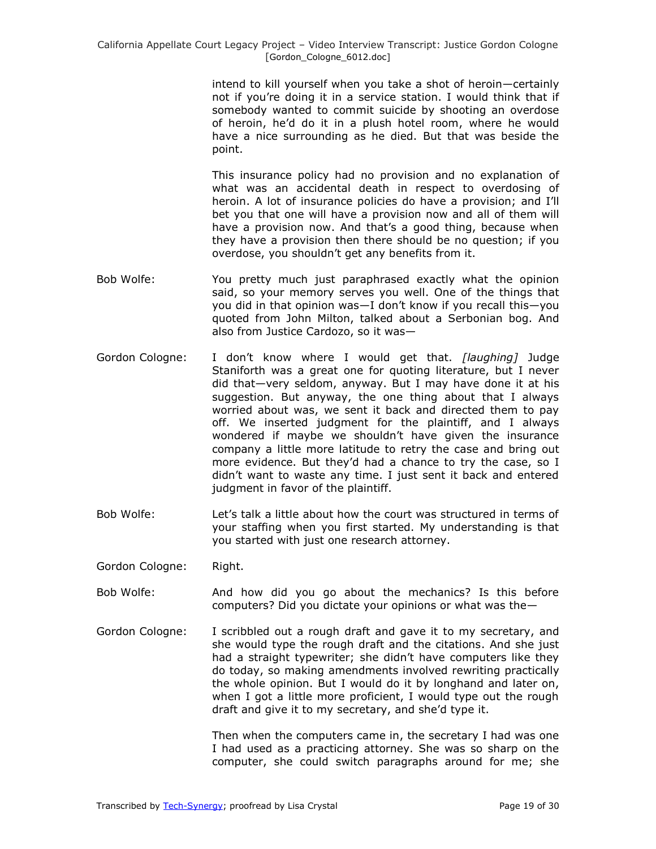intend to kill yourself when you take a shot of heroin—certainly not if you're doing it in a service station. I would think that if somebody wanted to commit suicide by shooting an overdose of heroin, he'd do it in a plush hotel room, where he would have a nice surrounding as he died. But that was beside the point.

This insurance policy had no provision and no explanation of what was an accidental death in respect to overdosing of heroin. A lot of insurance policies do have a provision; and I'll bet you that one will have a provision now and all of them will have a provision now. And that's a good thing, because when they have a provision then there should be no question; if you overdose, you shouldn't get any benefits from it.

- Bob Wolfe: You pretty much just paraphrased exactly what the opinion said, so your memory serves you well. One of the things that you did in that opinion was—I don't know if you recall this—you quoted from John Milton, talked about a Serbonian bog. And also from Justice Cardozo, so it was—
- Gordon Cologne: I don't know where I would get that. *[laughing]* Judge Staniforth was a great one for quoting literature, but I never did that—very seldom, anyway. But I may have done it at his suggestion. But anyway, the one thing about that I always worried about was, we sent it back and directed them to pay off. We inserted judgment for the plaintiff, and I always wondered if maybe we shouldn't have given the insurance company a little more latitude to retry the case and bring out more evidence. But they'd had a chance to try the case, so I didn't want to waste any time. I just sent it back and entered judgment in favor of the plaintiff.
- Bob Wolfe: Let's talk a little about how the court was structured in terms of your staffing when you first started. My understanding is that you started with just one research attorney.
- Gordon Cologne: Right.
- Bob Wolfe: And how did you go about the mechanics? Is this before computers? Did you dictate your opinions or what was the—
- Gordon Cologne: I scribbled out a rough draft and gave it to my secretary, and she would type the rough draft and the citations. And she just had a straight typewriter; she didn't have computers like they do today, so making amendments involved rewriting practically the whole opinion. But I would do it by longhand and later on, when I got a little more proficient, I would type out the rough draft and give it to my secretary, and she'd type it.

Then when the computers came in, the secretary I had was one I had used as a practicing attorney. She was so sharp on the computer, she could switch paragraphs around for me; she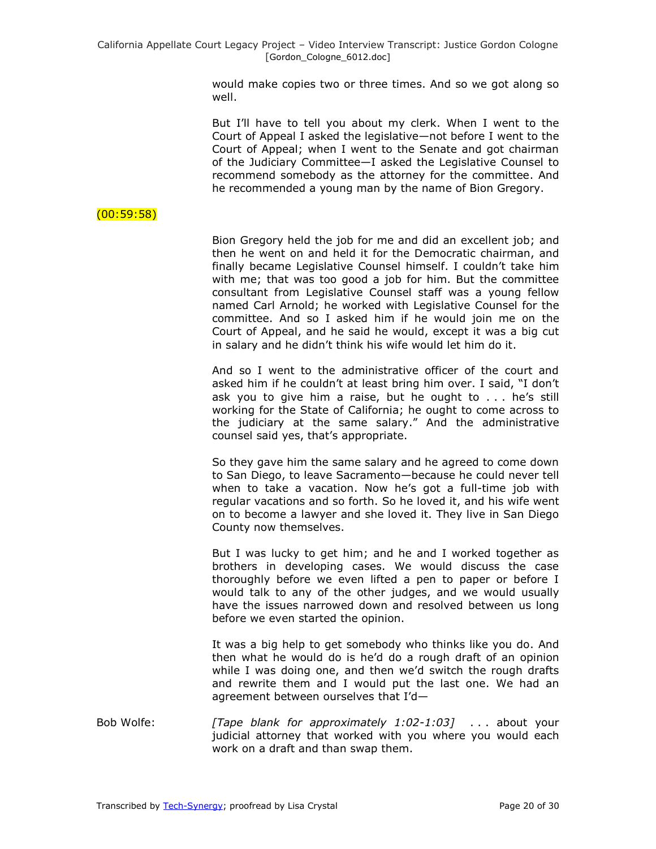would make copies two or three times. And so we got along so well.

But I'll have to tell you about my clerk. When I went to the Court of Appeal I asked the legislative—not before I went to the Court of Appeal; when I went to the Senate and got chairman of the Judiciary Committee—I asked the Legislative Counsel to recommend somebody as the attorney for the committee. And he recommended a young man by the name of Bion Gregory.

### $(00:59:58)$

Bion Gregory held the job for me and did an excellent job; and then he went on and held it for the Democratic chairman, and finally became Legislative Counsel himself. I couldn't take him with me; that was too good a job for him. But the committee consultant from Legislative Counsel staff was a young fellow named Carl Arnold; he worked with Legislative Counsel for the committee. And so I asked him if he would join me on the Court of Appeal, and he said he would, except it was a big cut in salary and he didn't think his wife would let him do it.

And so I went to the administrative officer of the court and asked him if he couldn't at least bring him over. I said, "I don't ask you to give him a raise, but he ought to . . . he's still working for the State of California; he ought to come across to the judiciary at the same salary." And the administrative counsel said yes, that's appropriate.

So they gave him the same salary and he agreed to come down to San Diego, to leave Sacramento—because he could never tell when to take a vacation. Now he's got a full-time job with regular vacations and so forth. So he loved it, and his wife went on to become a lawyer and she loved it. They live in San Diego County now themselves.

But I was lucky to get him; and he and I worked together as brothers in developing cases. We would discuss the case thoroughly before we even lifted a pen to paper or before I would talk to any of the other judges, and we would usually have the issues narrowed down and resolved between us long before we even started the opinion.

It was a big help to get somebody who thinks like you do. And then what he would do is he'd do a rough draft of an opinion while I was doing one, and then we'd switch the rough drafts and rewrite them and I would put the last one. We had an agreement between ourselves that I'd—

Bob Wolfe: *[Tape blank for approximately 1:02-1:03]* . . . about your judicial attorney that worked with you where you would each work on a draft and than swap them.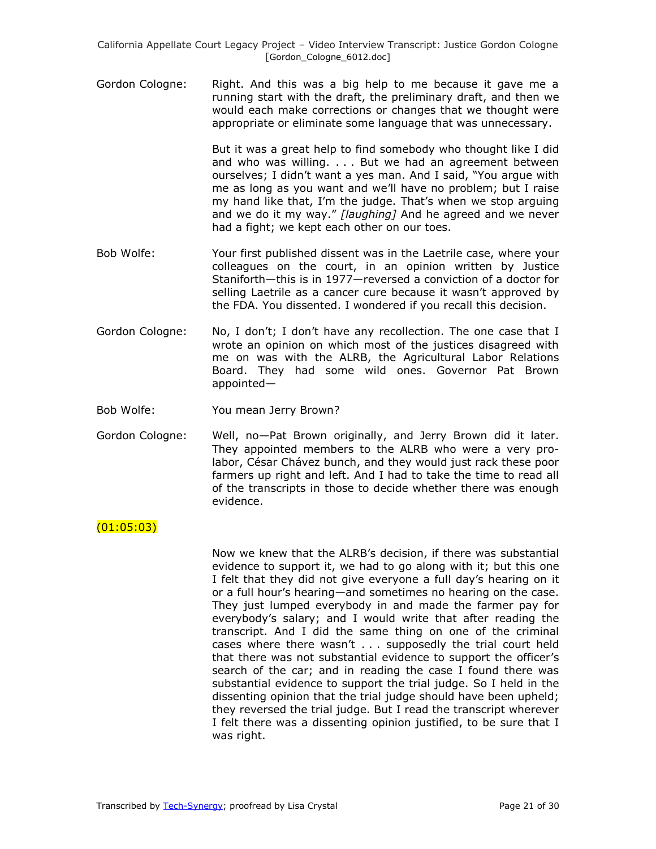Gordon Cologne: Right. And this was a big help to me because it gave me a running start with the draft, the preliminary draft, and then we would each make corrections or changes that we thought were appropriate or eliminate some language that was unnecessary.

> But it was a great help to find somebody who thought like I did and who was willing. . . . But we had an agreement between ourselves; I didn't want a yes man. And I said, "You arque with me as long as you want and we'll have no problem; but I raise my hand like that, I'm the judge. That's when we stop arguing and we do it my way." *[laughing]* And he agreed and we never had a fight; we kept each other on our toes.

- Bob Wolfe: Your first published dissent was in the Laetrile case, where your colleagues on the court, in an opinion written by Justice Staniforth—this is in 1977—reversed a conviction of a doctor for selling Laetrile as a cancer cure because it wasn't approved by the FDA. You dissented. I wondered if you recall this decision.
- Gordon Cologne: No, I don't; I don't have any recollection. The one case that I wrote an opinion on which most of the justices disagreed with me on was with the ALRB, the Agricultural Labor Relations Board. They had some wild ones. Governor Pat Brown appointed—

Bob Wolfe: You mean Jerry Brown?

Gordon Cologne: Well, no—Pat Brown originally, and Jerry Brown did it later. They appointed members to the ALRB who were a very prolabor, César Chávez bunch, and they would just rack these poor farmers up right and left. And I had to take the time to read all of the transcripts in those to decide whether there was enough evidence.

### (01:05:03)

Now we knew that the ALRB's decision, if there was substantial evidence to support it, we had to go along with it; but this one I felt that they did not give everyone a full day's hearing on it or a full hour's hearing—and sometimes no hearing on the case. They just lumped everybody in and made the farmer pay for everybody's salary; and I would write that after reading the transcript. And I did the same thing on one of the criminal cases where there wasn't . . . supposedly the trial court held that there was not substantial evidence to support the officer's search of the car; and in reading the case I found there was substantial evidence to support the trial judge. So I held in the dissenting opinion that the trial judge should have been upheld; they reversed the trial judge. But I read the transcript wherever I felt there was a dissenting opinion justified, to be sure that I was right.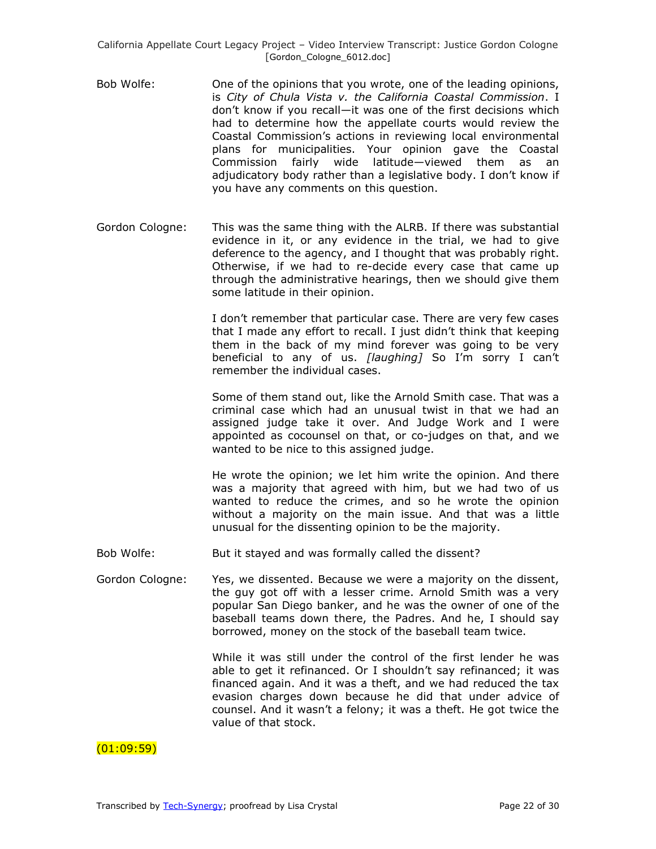- Bob Wolfe: One of the opinions that you wrote, one of the leading opinions, is *City of Chula Vista v. the California Coastal Commission*. I don't know if you recall—it was one of the first decisions which had to determine how the appellate courts would review the Coastal Commission's actions in reviewing local environmental plans for municipalities. Your opinion gave the Coastal Commission fairly wide latitude—viewed them as an adjudicatory body rather than a legislative body. I don't know if you have any comments on this question.
- Gordon Cologne: This was the same thing with the ALRB. If there was substantial evidence in it, or any evidence in the trial, we had to give deference to the agency, and I thought that was probably right. Otherwise, if we had to re-decide every case that came up through the administrative hearings, then we should give them some latitude in their opinion.

I don't remember that particular case. There are very few cases that I made any effort to recall. I just didn't think that keeping them in the back of my mind forever was going to be very beneficial to any of us. *[laughing]* So I'm sorry I can't remember the individual cases.

Some of them stand out, like the Arnold Smith case. That was a criminal case which had an unusual twist in that we had an assigned judge take it over. And Judge Work and I were appointed as cocounsel on that, or co-judges on that, and we wanted to be nice to this assigned judge.

He wrote the opinion; we let him write the opinion. And there was a majority that agreed with him, but we had two of us wanted to reduce the crimes, and so he wrote the opinion without a majority on the main issue. And that was a little unusual for the dissenting opinion to be the majority.

- Bob Wolfe: But it stayed and was formally called the dissent?
- Gordon Cologne: Yes, we dissented. Because we were a majority on the dissent, the guy got off with a lesser crime. Arnold Smith was a very popular San Diego banker, and he was the owner of one of the baseball teams down there, the Padres. And he, I should say borrowed, money on the stock of the baseball team twice.

While it was still under the control of the first lender he was able to get it refinanced. Or I shouldn't say refinanced; it was financed again. And it was a theft, and we had reduced the tax evasion charges down because he did that under advice of counsel. And it wasn't a felony; it was a theft. He got twice the value of that stock.

### $(01:09:59)$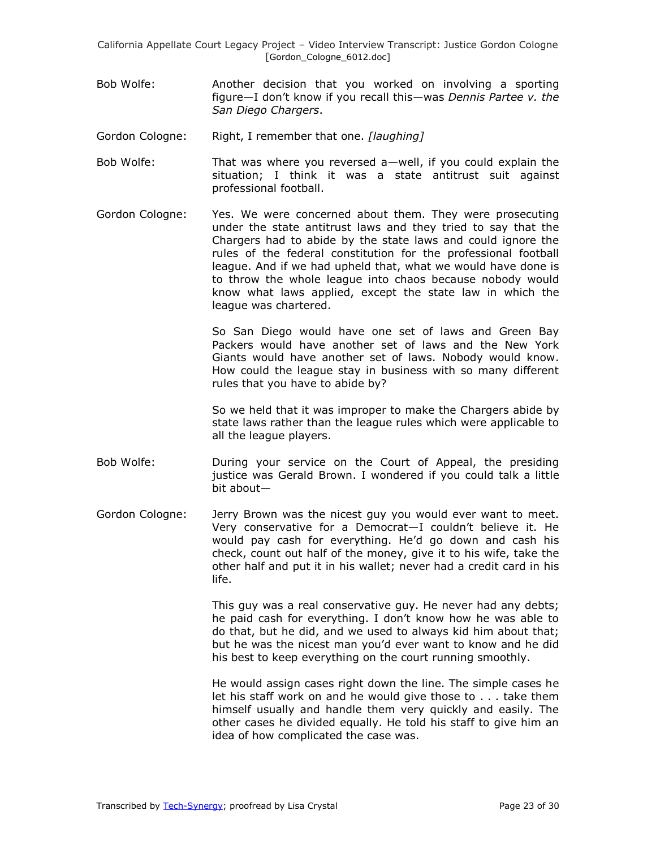- Bob Wolfe: Another decision that you worked on involving a sporting figure—I don't know if you recall this—was *Dennis Partee v. the San Diego Chargers*.
- Gordon Cologne: Right, I remember that one. *[laughing]*
- Bob Wolfe: That was where you reversed a—well, if you could explain the situation; I think it was a state antitrust suit against professional football.
- Gordon Cologne: Yes. We were concerned about them. They were prosecuting under the state antitrust laws and they tried to say that the Chargers had to abide by the state laws and could ignore the rules of the federal constitution for the professional football league. And if we had upheld that, what we would have done is to throw the whole league into chaos because nobody would know what laws applied, except the state law in which the league was chartered.

So San Diego would have one set of laws and Green Bay Packers would have another set of laws and the New York Giants would have another set of laws. Nobody would know. How could the league stay in business with so many different rules that you have to abide by?

So we held that it was improper to make the Chargers abide by state laws rather than the league rules which were applicable to all the league players.

- Bob Wolfe: During your service on the Court of Appeal, the presiding justice was Gerald Brown. I wondered if you could talk a little bit about—
- Gordon Cologne: Jerry Brown was the nicest guy you would ever want to meet. Very conservative for a Democrat—I couldn't believe it. He would pay cash for everything. He'd go down and cash his check, count out half of the money, give it to his wife, take the other half and put it in his wallet; never had a credit card in his life.

This guy was a real conservative guy. He never had any debts; he paid cash for everything. I don't know how he was able to do that, but he did, and we used to always kid him about that; but he was the nicest man you'd ever want to know and he did his best to keep everything on the court running smoothly.

He would assign cases right down the line. The simple cases he let his staff work on and he would give those to . . . take them himself usually and handle them very quickly and easily. The other cases he divided equally. He told his staff to give him an idea of how complicated the case was.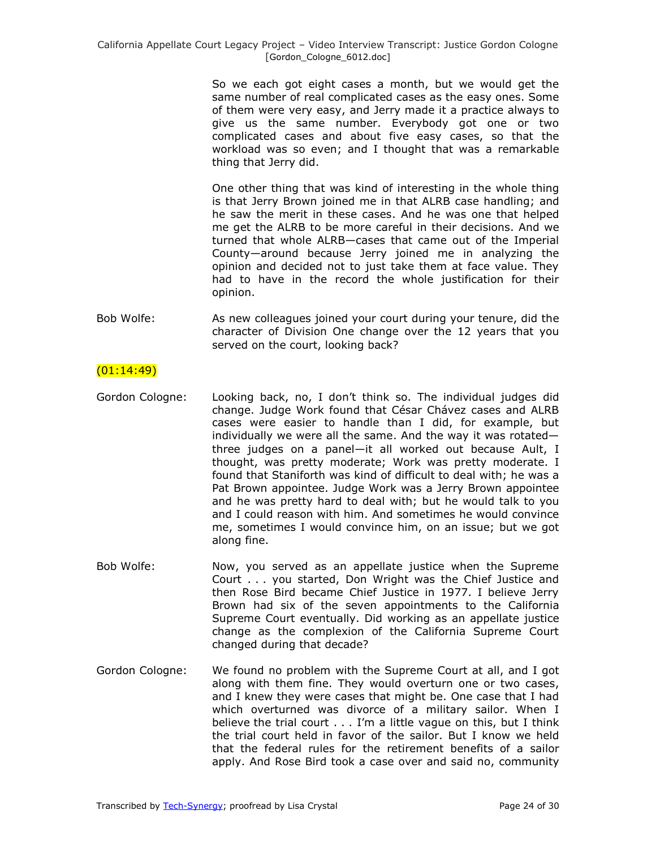So we each got eight cases a month, but we would get the same number of real complicated cases as the easy ones. Some of them were very easy, and Jerry made it a practice always to give us the same number. Everybody got one or two complicated cases and about five easy cases, so that the workload was so even; and I thought that was a remarkable thing that Jerry did.

One other thing that was kind of interesting in the whole thing is that Jerry Brown joined me in that ALRB case handling; and he saw the merit in these cases. And he was one that helped me get the ALRB to be more careful in their decisions. And we turned that whole ALRB—cases that came out of the Imperial County—around because Jerry joined me in analyzing the opinion and decided not to just take them at face value. They had to have in the record the whole justification for their opinion.

Bob Wolfe: As new colleagues joined your court during your tenure, did the character of Division One change over the 12 years that you served on the court, looking back?

## $(01:14:49)$

- Gordon Cologne: Looking back, no, I don't think so. The individual judges did change. Judge Work found that César Chávez cases and ALRB cases were easier to handle than I did, for example, but individually we were all the same. And the way it was rotated three judges on a panel—it all worked out because Ault, I thought, was pretty moderate; Work was pretty moderate. I found that Staniforth was kind of difficult to deal with; he was a Pat Brown appointee. Judge Work was a Jerry Brown appointee and he was pretty hard to deal with; but he would talk to you and I could reason with him. And sometimes he would convince me, sometimes I would convince him, on an issue; but we got along fine.
- Bob Wolfe: Now, you served as an appellate justice when the Supreme Court . . . you started, Don Wright was the Chief Justice and then Rose Bird became Chief Justice in 1977. I believe Jerry Brown had six of the seven appointments to the California Supreme Court eventually. Did working as an appellate justice change as the complexion of the California Supreme Court changed during that decade?
- Gordon Cologne: We found no problem with the Supreme Court at all, and I got along with them fine. They would overturn one or two cases, and I knew they were cases that might be. One case that I had which overturned was divorce of a military sailor. When I believe the trial court . . . I'm a little vague on this, but I think the trial court held in favor of the sailor. But I know we held that the federal rules for the retirement benefits of a sailor apply. And Rose Bird took a case over and said no, community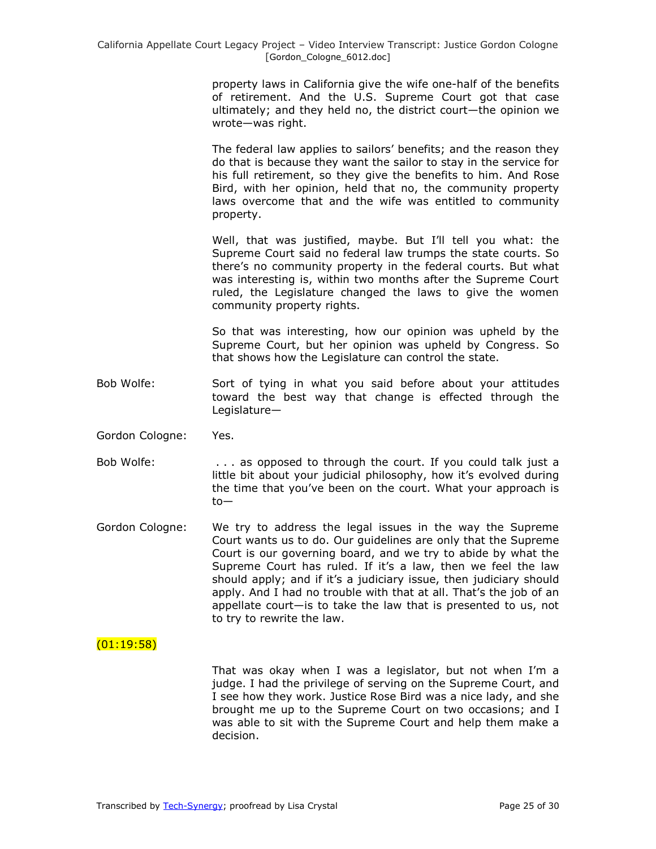property laws in California give the wife one-half of the benefits of retirement. And the U.S. Supreme Court got that case ultimately; and they held no, the district court—the opinion we wrote—was right.

The federal law applies to sailors' benefits; and the reason they do that is because they want the sailor to stay in the service for his full retirement, so they give the benefits to him. And Rose Bird, with her opinion, held that no, the community property laws overcome that and the wife was entitled to community property.

Well, that was justified, maybe. But I'll tell you what: the Supreme Court said no federal law trumps the state courts. So there's no community property in the federal courts. But what was interesting is, within two months after the Supreme Court ruled, the Legislature changed the laws to give the women community property rights.

So that was interesting, how our opinion was upheld by the Supreme Court, but her opinion was upheld by Congress. So that shows how the Legislature can control the state.

- Bob Wolfe: Sort of tying in what you said before about your attitudes toward the best way that change is effected through the Legislature—
- Gordon Cologne: Yes.
- Bob Wolfe: . . . . . as opposed to through the court. If you could talk just a little bit about your judicial philosophy, how it's evolved during the time that you've been on the court. What your approach is to—
- Gordon Cologne: We try to address the legal issues in the way the Supreme Court wants us to do. Our guidelines are only that the Supreme Court is our governing board, and we try to abide by what the Supreme Court has ruled. If it's a law, then we feel the law should apply; and if it's a judiciary issue, then judiciary should apply. And I had no trouble with that at all. That's the job of an appellate court—is to take the law that is presented to us, not to try to rewrite the law.

## $(01:19:58)$

That was okay when I was a legislator, but not when I'm a judge. I had the privilege of serving on the Supreme Court, and I see how they work. Justice Rose Bird was a nice lady, and she brought me up to the Supreme Court on two occasions; and I was able to sit with the Supreme Court and help them make a decision.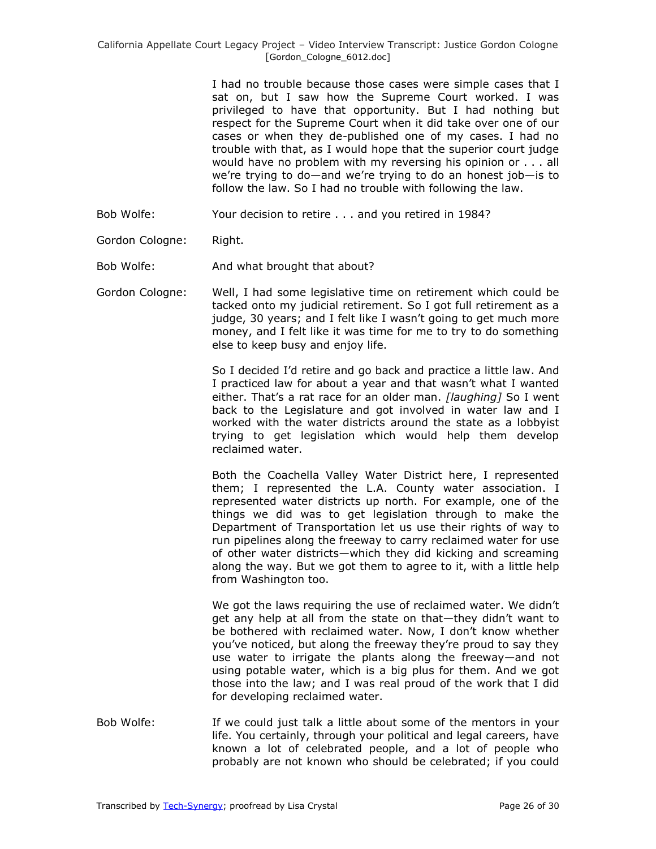I had no trouble because those cases were simple cases that I sat on, but I saw how the Supreme Court worked. I was privileged to have that opportunity. But I had nothing but respect for the Supreme Court when it did take over one of our cases or when they de-published one of my cases. I had no trouble with that, as I would hope that the superior court judge would have no problem with my reversing his opinion or . . . all we're trying to do—and we're trying to do an honest job—is to follow the law. So I had no trouble with following the law.

- Bob Wolfe: Your decision to retire . . . and you retired in 1984?
- Gordon Cologne: Right.

Bob Wolfe: And what brought that about?

Gordon Cologne: Well, I had some legislative time on retirement which could be tacked onto my judicial retirement. So I got full retirement as a judge, 30 years; and I felt like I wasn't going to get much more money, and I felt like it was time for me to try to do something else to keep busy and enjoy life.

> So I decided I'd retire and go back and practice a little law. And I practiced law for about a year and that wasn't what I wanted either. That's a rat race for an older man. *[laughing]* So I went back to the Legislature and got involved in water law and I worked with the water districts around the state as a lobbyist trying to get legislation which would help them develop reclaimed water.

> Both the Coachella Valley Water District here, I represented them; I represented the L.A. County water association. I represented water districts up north. For example, one of the things we did was to get legislation through to make the Department of Transportation let us use their rights of way to run pipelines along the freeway to carry reclaimed water for use of other water districts—which they did kicking and screaming along the way. But we got them to agree to it, with a little help from Washington too.

> We got the laws requiring the use of reclaimed water. We didn't get any help at all from the state on that—they didn't want to be bothered with reclaimed water. Now, I don't know whether you've noticed, but along the freeway they're proud to say they use water to irrigate the plants along the freeway—and not using potable water, which is a big plus for them. And we got those into the law; and I was real proud of the work that I did for developing reclaimed water.

Bob Wolfe: If we could just talk a little about some of the mentors in your life. You certainly, through your political and legal careers, have known a lot of celebrated people, and a lot of people who probably are not known who should be celebrated; if you could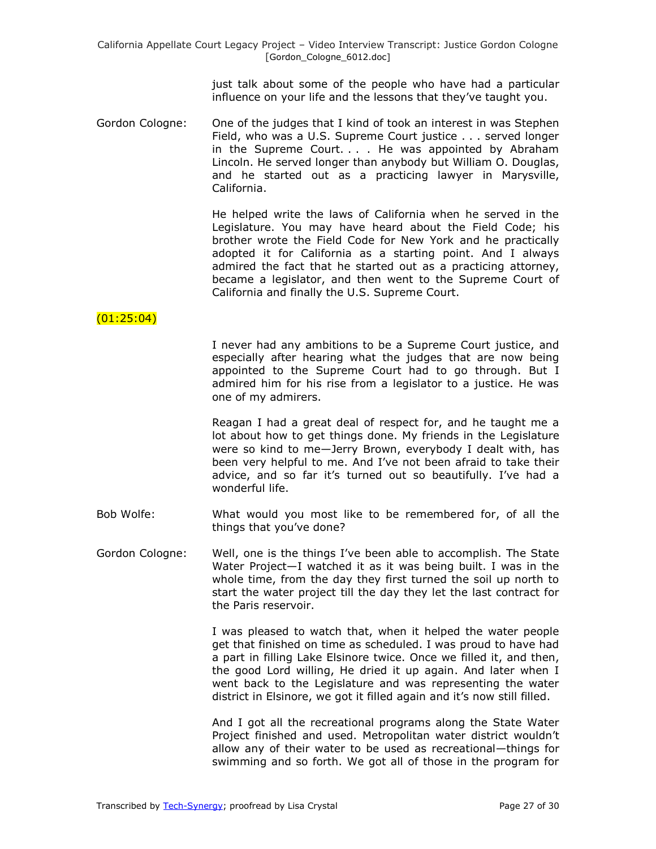just talk about some of the people who have had a particular influence on your life and the lessons that they've taught you.

Gordon Cologne: One of the judges that I kind of took an interest in was Stephen Field, who was a U.S. Supreme Court justice . . . served longer in the Supreme Court. . . . He was appointed by Abraham Lincoln. He served longer than anybody but William O. Douglas, and he started out as a practicing lawyer in Marysville, California.

> He helped write the laws of California when he served in the Legislature. You may have heard about the Field Code; his brother wrote the Field Code for New York and he practically adopted it for California as a starting point. And I always admired the fact that he started out as a practicing attorney, became a legislator, and then went to the Supreme Court of California and finally the U.S. Supreme Court.

# $(01:25:04)$

I never had any ambitions to be a Supreme Court justice, and especially after hearing what the judges that are now being appointed to the Supreme Court had to go through. But I admired him for his rise from a legislator to a justice. He was one of my admirers.

Reagan I had a great deal of respect for, and he taught me a lot about how to get things done. My friends in the Legislature were so kind to me—Jerry Brown, everybody I dealt with, has been very helpful to me. And I've not been afraid to take their advice, and so far it's turned out so beautifully. I've had a wonderful life.

- Bob Wolfe: What would you most like to be remembered for, of all the things that you've done?
- Gordon Cologne: Well, one is the things I've been able to accomplish. The State Water Project—I watched it as it was being built. I was in the whole time, from the day they first turned the soil up north to start the water project till the day they let the last contract for the Paris reservoir.

I was pleased to watch that, when it helped the water people get that finished on time as scheduled. I was proud to have had a part in filling Lake Elsinore twice. Once we filled it, and then, the good Lord willing, He dried it up again. And later when I went back to the Legislature and was representing the water district in Elsinore, we got it filled again and it's now still filled.

And I got all the recreational programs along the State Water Project finished and used. Metropolitan water district wouldn't allow any of their water to be used as recreational—things for swimming and so forth. We got all of those in the program for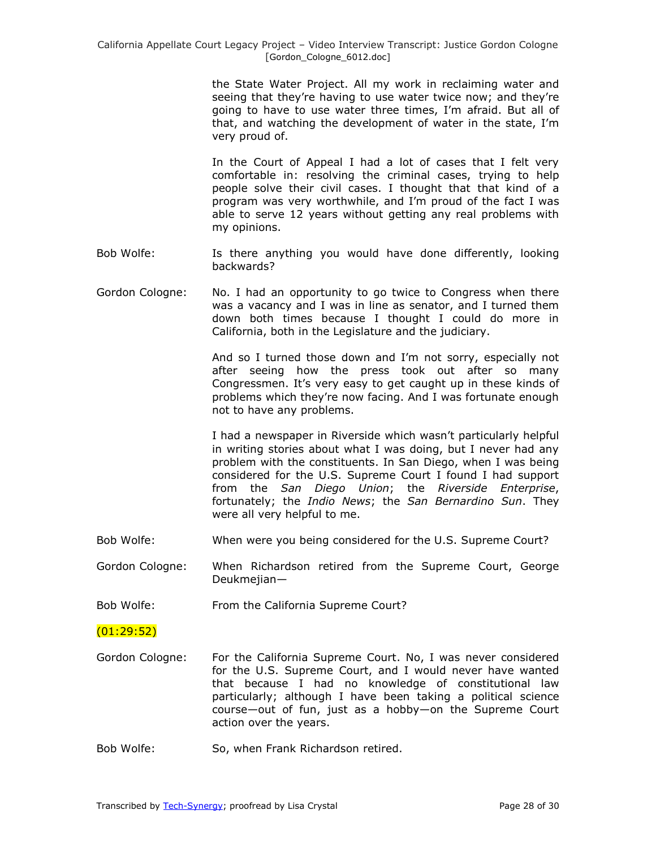the State Water Project. All my work in reclaiming water and seeing that they're having to use water twice now; and they're going to have to use water three times, I'm afraid. But all of that, and watching the development of water in the state, I'm very proud of.

In the Court of Appeal I had a lot of cases that I felt very comfortable in: resolving the criminal cases, trying to help people solve their civil cases. I thought that that kind of a program was very worthwhile, and I'm proud of the fact I was able to serve 12 years without getting any real problems with my opinions.

- Bob Wolfe: Is there anything you would have done differently, looking backwards?
- Gordon Cologne: No. I had an opportunity to go twice to Congress when there was a vacancy and I was in line as senator, and I turned them down both times because I thought I could do more in California, both in the Legislature and the judiciary.

And so I turned those down and I'm not sorry, especially not after seeing how the press took out after so many Congressmen. It's very easy to get caught up in these kinds of problems which they're now facing. And I was fortunate enough not to have any problems.

I had a newspaper in Riverside which wasn't particularly helpful in writing stories about what I was doing, but I never had any problem with the constituents. In San Diego, when I was being considered for the U.S. Supreme Court I found I had support from the *San Diego Union*; the *Riverside Enterprise*, fortunately; the *Indio News*; the *San Bernardino Sun*. They were all very helpful to me.

- Bob Wolfe: When were you being considered for the U.S. Supreme Court?
- Gordon Cologne: When Richardson retired from the Supreme Court, George Deukmejian—
- Bob Wolfe: From the California Supreme Court?

 $(01:29:52)$ 

- Gordon Cologne: For the California Supreme Court. No, I was never considered for the U.S. Supreme Court, and I would never have wanted that because I had no knowledge of constitutional law particularly; although I have been taking a political science course—out of fun, just as a hobby—on the Supreme Court action over the years.
- Bob Wolfe: So, when Frank Richardson retired.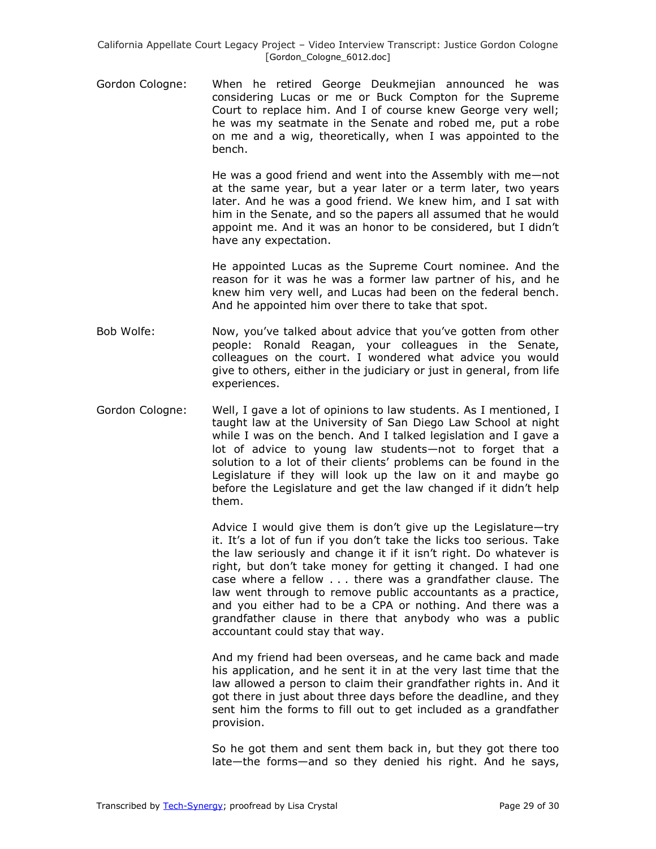Gordon Cologne: When he retired George Deukmejian announced he was considering Lucas or me or Buck Compton for the Supreme Court to replace him. And I of course knew George very well; he was my seatmate in the Senate and robed me, put a robe on me and a wig, theoretically, when I was appointed to the bench.

> He was a good friend and went into the Assembly with me—not at the same year, but a year later or a term later, two years later. And he was a good friend. We knew him, and I sat with him in the Senate, and so the papers all assumed that he would appoint me. And it was an honor to be considered, but I didn't have any expectation.

> He appointed Lucas as the Supreme Court nominee. And the reason for it was he was a former law partner of his, and he knew him very well, and Lucas had been on the federal bench. And he appointed him over there to take that spot.

- Bob Wolfe: Now, you've talked about advice that you've gotten from other people: Ronald Reagan, your colleagues in the Senate, colleagues on the court. I wondered what advice you would give to others, either in the judiciary or just in general, from life experiences.
- Gordon Cologne: Well, I gave a lot of opinions to law students. As I mentioned, I taught law at the University of San Diego Law School at night while I was on the bench. And I talked legislation and I gave a lot of advice to young law students—not to forget that a solution to a lot of their clients' problems can be found in the Legislature if they will look up the law on it and maybe go before the Legislature and get the law changed if it didn't help them.

Advice I would give them is don't give up the Legislature—try it. It's a lot of fun if you don't take the licks too serious. Take the law seriously and change it if it isn't right. Do whatever is right, but don't take money for getting it changed. I had one case where a fellow . . . there was a grandfather clause. The law went through to remove public accountants as a practice, and you either had to be a CPA or nothing. And there was a grandfather clause in there that anybody who was a public accountant could stay that way.

And my friend had been overseas, and he came back and made his application, and he sent it in at the very last time that the law allowed a person to claim their grandfather rights in. And it got there in just about three days before the deadline, and they sent him the forms to fill out to get included as a grandfather provision.

So he got them and sent them back in, but they got there too late—the forms—and so they denied his right. And he says,